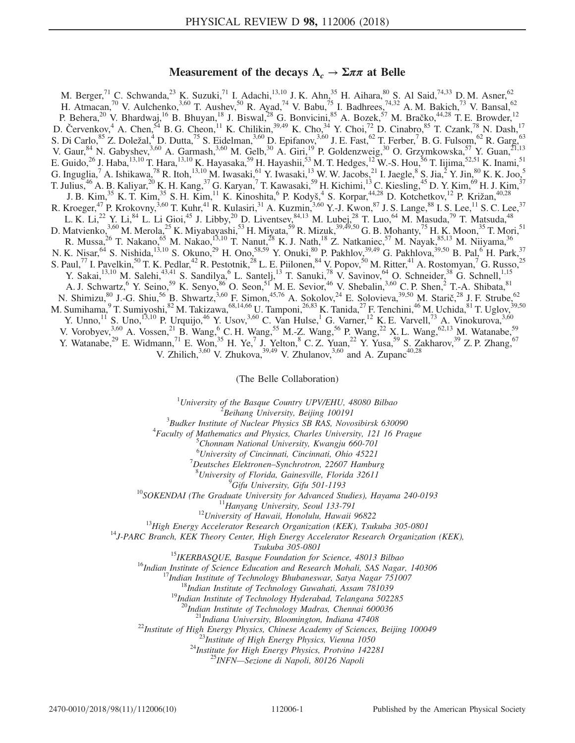# Measurement of the decays  $\Lambda_c \rightarrow \Sigma \pi \pi$  at Belle

M. Berger,<sup>71</sup> C. Schwanda,<sup>23</sup> K. Suzuki,<sup>71</sup> I. Adachi,<sup>13,10</sup> J. K. Ahn,<sup>35</sup> H. Aihara,<sup>80</sup> S. Al Said,<sup>74,33</sup> D. M. Asner,<sup>62</sup> H. Atmacan,<sup>70</sup> V. Aulchenko,<sup>3,60</sup> T. Aushev,<sup>50</sup> R. Ayad,<sup>74</sup> V. Babu,<sup>75</sup> I. Badhrees,<sup>74,32</sup> A. M. Bakich,<sup>73</sup> V. Bansal,<sup>62</sup> P. Behera,<sup>20</sup> V. Bhardwaj,<sup>16</sup> B. Bhuyan,<sup>18</sup> J. Biswal,<sup>28</sup> G. Bonvicini,<sup>85</sup> A. Bozek,<sup>57</sup> M. Bračko,<sup>44,28</sup> T. E. Browder,<sup>12</sup> D. Červenkov,  $4$  A. Chen,  $54$  B. G. Cheon,  $11$  K. Chilikin,  $39,49$  K. Cho,  $34$  Y. Choi,  $72$  D. Cinabro,  $85$  T. Czank,  $78$  N. Dash,  $17$ S. Di Carlo,  ${}^{85}$  Z. Doležal,  ${}^{4}$  D. Dutta,  ${}^{75}$  S. Eidelman,  ${}^{3,60}$  D. Epifanov,  ${}^{3,60}$  J. E. Fast,  ${}^{62}$  T. Ferber,  ${}^{7}$  B. G. Fulsom,  ${}^{62}$  R. Garg,  ${}^{63}$ V. Gaur,  $84$  N. Gabyshev,  $3,60$  A. Garmash,  $3,60$  M. Gelb,  $30$  A. Giri,  $19$  P. Goldenzweig,  $30$  O. Grzymkowska,  $57$  Y. Guan,  $21,13$ E. Guido,<sup>26</sup> J. Haba,<sup>13,10</sup> T. Hara,<sup>13,10</sup> K. Hayasaka,<sup>59</sup> H. Hayashii,<sup>53</sup> M. T. Hedges,<sup>12</sup> W.-S. Hou,<sup>56</sup> T. Iijima,<sup>52,51</sup> K. Inami,<sup>51</sup> G. Inguglia,<sup>7</sup> A. Ishikawa,<sup>78</sup> R. Itoh,<sup>13,10</sup> M. Iwasaki,<sup>61</sup> Y. Iwasaki,<sup>13</sup> W. W. Jacobs,<sup>21</sup> I. Jaegle,<sup>8</sup> S. Jia,<sup>2</sup> Y. Jin,<sup>80</sup> K. K. Joo,<sup>5</sup> T. Julius,  $^{46}$  A. B. Kaliyar,  $^{20}$  K. H. Kang,  $^{37}$  G. Karyan,  $^7$  T. Kawasaki,  $^{59}$  H. Kichimi,  $^{13}$  C. Kiesling,  $^{45}$  D. Y. Kim,  $^{69}$  H. J. Kim,  $^{37}$ J. B. Kim,<sup>35</sup> K. T. Kim,<sup>35</sup> S. H. Kim,<sup>11</sup> K. Kinoshita,<sup>6</sup> P. Kodyš,<sup>4</sup> S. Korpar,<sup>44,28</sup> D. Kotchetkov,<sup>12</sup> P. Križan,<sup>40,28</sup> R. Kroeger,<sup>47</sup> P. Krokovny,<sup>3,60</sup> T. Kuhr,<sup>41</sup> R. Kulasiri,<sup>31</sup> A. Kuzmin,<sup>3,60</sup> Y.-J. Kwon,<sup>87</sup> J. S. Lange,<sup>88</sup> I. S. Lee,<sup>11</sup> S. C. Lee,<sup>37</sup> L. K. Li,<sup>22</sup> Y. Li,<sup>84</sup> L. Li Gioi,<sup>45</sup> J. Libby,<sup>20</sup> D. Liventsev,<sup>84,13</sup> M. Lubej,<sup>28</sup> T. Luo,<sup>64</sup> M. Masuda,<sup>79</sup> T. Matsuda,<sup>48</sup> D. Matvienko,<sup>3,60</sup> M. Merola,<sup>25</sup> K. Miyabayashi,<sup>53</sup> H. Miyata,<sup>59</sup> R. Mizuk,<sup>39,49,50</sup> G. B. Mohanty,<sup>75</sup> H. K. Moon,<sup>35</sup> T. Mori,<sup>51</sup> R. Mussa,<sup>26</sup> T. Nakano,<sup>65</sup> M. Nakao,<sup>13,10</sup> T. Nanut,<sup>28</sup> K. J. Nath,<sup>18</sup> Z. Natkaniec,<sup>57</sup> M. Nayak,<sup>85,13</sup> M. Niiyama,<sup>36</sup> N. K. Nisar, <sup>64</sup> S. Nishida, <sup>13,10</sup> S. Okuno, <sup>29</sup> H. Ono, <sup>58,59</sup> Y. Onuki, <sup>80</sup> P. Pakhlov, <sup>39,49</sup> G. Pakhlova, <sup>39,50</sup> B. Pal, <sup>6</sup> H. Park, <sup>37</sup> S. Paul,<sup>77</sup> I. Pavelkin,<sup>50</sup> T. K. Pedlar,<sup>42</sup> R. Pestotnik,<sup>28</sup> L. E. Piilonen,<sup>84</sup> V. Popov,<sup>50</sup> M. Ritter,<sup>41</sup> A. Rostomyan,<sup>7</sup> G. Russo,<sup>25</sup> Y. Sakai, <sup>13,10</sup> M. Salehi, <sup>43,41</sup> S. Sandilya, <sup>6</sup> L. Santelj, <sup>13</sup> T. Sanuki, <sup>78</sup> V. Savinov, <sup>64</sup> O. Schneider, <sup>38</sup> G. Schnell, <sup>1,15</sup> A. J. Schwartz,<sup>6</sup> Y. Seino,<sup>59</sup> K. Senyo,<sup>86</sup> O. Seon,<sup>51</sup> M. E. Sevior,<sup>46</sup> V. Shebalin,<sup>3,60</sup> C. P. Shen,<sup>2</sup> T.-A. Shibata,<sup>81</sup> N. Shimizu,  $^{80}$  J.-G. Shiu,  $^{56}$  B. Shwartz,  $^{3,60}$  F. Simon,  $^{45,76}$  A. Sokolov,  $^{24}$  E. Solovieva,  $^{39,50}$  M. Starič,  $^{28}$  J. F. Strube,  $^{62}$ M. Sumihama, $^9$  T. Sumiyoshi, $^{82}$  M. Takizawa, $^{68,14,66}$  U. Tamponi, $^{26,83}$  K. Tanida, $^{27}$  F. Tenchini, $^{46}$  M. Uchida, $^{81}$  T. Uglov, $^{39,50}$ Y. Unno,<sup>11</sup> S. Uno,<sup>13,10</sup> P. Urquijo,<sup>46</sup> Y. Usov,<sup>3,60</sup> C. Van Hulse,<sup>1</sup> G. Varner,<sup>12</sup> K. E. Varvell,<sup>73</sup> A. Vinokurova,<sup>3,60</sup> V. Vorobyev,  $3.60$  A. Vossen,  $2^{1}$  B. Wang,  $6$  C. H. Wang,  $55$  M.-Z. Wang,  $56$  P. Wang,  $2^{2}$  X. L. Wang,  $62,13$  M. Watanabe,  $59$ Y. Watanabe,<sup>29</sup> E. Widmann,<sup>71</sup> E. Won,<sup>35</sup> H. Ye,<sup>7</sup> J. Yelton,<sup>8</sup> C. Z. Yuan,<sup>22</sup> Y. Yusa,<sup>59</sup> S. Zakharov,<sup>39</sup> Z. P. Zhang,<sup>67</sup> V. Zhilich,  $3,60$  V. Zhukova,  $39,49$  V. Zhulanov,  $3,60$  and A. Zupanc<sup>40,28</sup>

(The Belle Collaboration)

<sup>1</sup>University of the Basque Country UPV/EHU, 48080 Bilbao  $\frac{2 \text{ B} \text{g}}{2 \text{ B} \text{g}}$  Library University, Bailing 100101

 ${}^{2}$ Beihang University, Beijing 100191

 $3B$ udker Institute of Nuclear Physics SB RAS, Novosibirsk 630090

 ${}^{4}$ Faculty of Mathematics and Physics, Charles University, 121 16 Prague

 ${}^{5}$ Chonnam National University, Kwangju 660-701

<sup>6</sup> University of Cincinnati, Cincinnati, Ohio 45221

 $^7$ Deutsches Elektronen–Synchrotron, 22607 Hamburg

<sup>8</sup>University of Florida, Gainesville, Florida 32611<br><sup>9</sup>Gifu University, Gifu 501-1193

<sup>10</sup>SOKENDAI (The Graduate University for Advanced Studies), Hayama 240-0193<br><sup>11</sup>Hanyang University, Seoul 133-791<br><sup>12</sup>University of Hawaii, Honolulu, Hawaii 96822<br><sup>13</sup>High Energy Accelerator Research Organization (KEK),

Tsukuba 305-0801<br><sup>15</sup>IKERBASQUE, Basque Foundation for Science, 48013 Bilbao<br><sup>16</sup>Indian Institute of Science Education and Research Mohali, SAS Nagar, 140306<br><sup>17</sup>Indian Institute of Technology Bhubaneswar, Satya Nagar 7510

<sup>20</sup>Indian Institute of Technology Madras, Chennai 600036<br><sup>21</sup>Indiana University, Bloomington, Indiana 47408<br><sup>22</sup>Institute of High Energy Physics, Chinese Academy of Sciences, Beijing 100049<br><sup>22</sup>Institute of High Energy P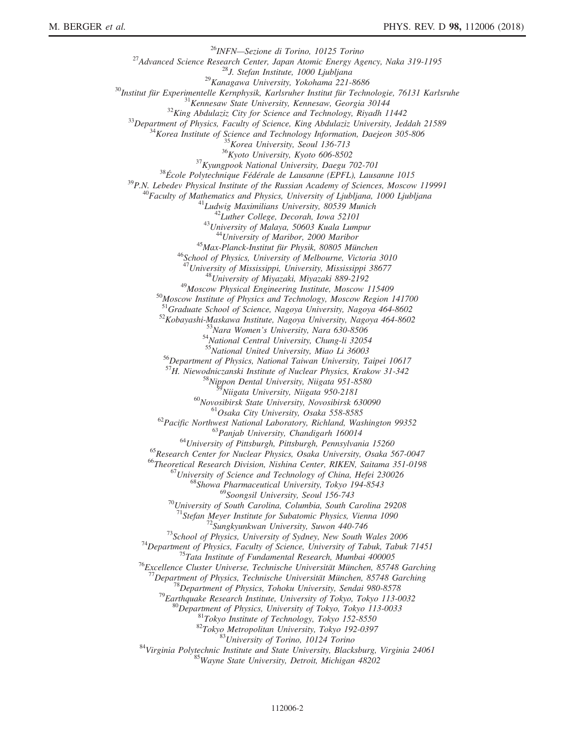$\begin{tabular}{c} $^{26}$MIFN–Sezione di Torino, 10125 Torino \\ $^{26}$Mvarued Science Research Center, Japan Atomic Energy Agency, Naka 319-1195 \\ $^{28}$M. Stefan Institute, 1000 Ljubljana \\ $^{29}$Kangawa University, Yokohama 221-8686 \\ $^{30}$Institut für Experimentelle Kernphysik, Karlsruheer Institut für Technologie, 76131 Karlsruhe \\ $^{31}$Kemesaw state University, Kennesaw, Georgia 30144 \\ $^{31}$Mepartment of Physics, Faculty of Science and Technology, Rivadh 11442 \\ $^{33}$Department of Physics, Faculty of Science and Technology, Rivadh 114$ <sup>46</sup>School of Physics, University of Melbourne, Victoria 3010<br><sup>47</sup>University of Mississippi, University, Mississippi 38677<br><sup>48</sup>University of Miyazaki, Miyazaki 889-2192<br><sup>50</sup>Moscow Physical Engineering Institute, Moscow 11 <sup>52</sup>Kobayashi-Maskawa Institute, Nagoya University, Nagoya 464-8602<br>
<sup>53</sup>Nara Women's University, Nara 630-8506<br>
<sup>54</sup>National Central University, Chung-li 32054<br>
<sup>55</sup>National United University, Miao Li 36003 <sup>56</sup>Department of Physics, National Taiwan University, Taipei 10617 <sup>57</sup>H. Niewodniczanski Institute of Nuclear Physics, Krakow 31-342<br><sup>58</sup>Nippon Dental University, Niigata 951-8580<br><sup>59</sup>Niigata University, Niigata 950-2181 <sup>60</sup>Novosibirsk State University, Novosibirsk 630090<br>
<sup>61</sup>Osaka City University, Osaka 558-8585<br>
<sup>62</sup>Pacific Northwest National Laboratory, Richland, Washington 99352<br>
<sup>63</sup>Panjab University, Chandigarh 160014<br>
<sup>64</sup>Univers <sup>70</sup>University of South Carolina, Columbia, South Carolina 29208<br><sup>71</sup>Stefan Meyer Institute for Subatomic Physics, Vienna 1090 <sup>72</sup>Sungkyunkwan University, Suwon 440-746<br><sup>73</sup>School of Physics, University of Sydney, New South Wales 2006<br><sup>74</sup>Department of Physics, Faculty of Science, University of Tabuk, Tabuk 71451<br><sup>75</sup>Tata Institute of Fundamenta <sup>78</sup>Department of Physics, Tohoku University, Sendai 980-8578<br><sup>79</sup>Earthquake Research Institute, University of Tokyo, Tokyo 113-0032<br><sup>80</sup>Department of Physics, University of Tokyo, Tokyo 113-0033<br><sup>81</sup>Tokyo Institute of Te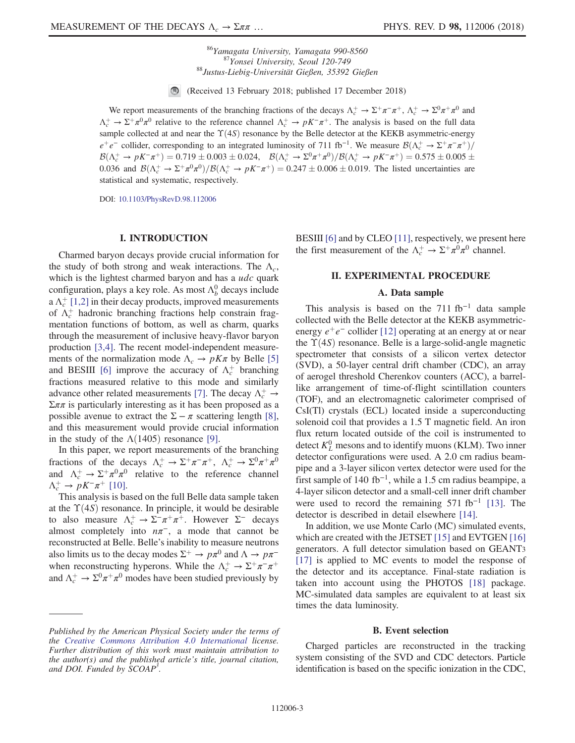<sup>86</sup>Yamagata University, Yamagata 990-8560<br><sup>87</sup>Yonsei University, Seoul 120-749<br><sup>88</sup>Justus-Liebig-Universität Gießen, 35392 Gießen

 $\odot$ (Received 13 February 2018; published 17 December 2018)

We report measurements of the branching fractions of the decays  $\Lambda_c^+ \to \Sigma^+ \pi^- \pi^+$ ,  $\Lambda_c^+ \to \Sigma^0 \pi^+ \pi^0$  and  $\Lambda_c^+ \to \Sigma^+ \pi^0 \pi^0$  relative to the reference channel  $\Lambda_c^+ \to pK^-\pi^+$ . The analysis is based on the full data sample collected at and near the  $\Upsilon(4S)$  resonance by the Belle detector at the KEKB asymmetric-energy  $e^+e^-$  collider, corresponding to an integrated luminosity of 711 fb<sup>-1</sup>. We measure  $\mathcal{B}(\Lambda_c^+ \to \Sigma^+\pi^-\pi^+)/$ <br> $\mathcal{B}(\Lambda_c^+ \to \Sigma^+\pi^-\pi^+)/$  = 0.710 + 0.003 + 0.024 =  $\mathcal{B}(\Lambda_c^+ \to \Sigma^0\pi^+)/\mathcal{B}(\Lambda_c^+ \to \Sigma^0\pi^+)/$  = 0.575 +  $\mathcal{B}(\Lambda_c^+ \to pK^-\pi^+) = 0.719 \pm 0.003 \pm 0.024$ ,  $\mathcal{B}(\Lambda_c^+ \to \Sigma^0\pi^+\pi^0)/\mathcal{B}(\Lambda_c^+ \to pK^-\pi^+) = 0.575 \pm 0.005 \pm 0.0036$  and  $\mathcal{B}(\Lambda_c^+ \to \Sigma^+ \pi^0 \pi^0)/\mathcal{B}(\Lambda_c^+ \to pK^-\pi^+) = 0.247 \pm 0.006 \pm 0.010$ . The listed upcortainties 0.036 and  $B(\Lambda_c^+ \to \Sigma^+ \pi^0 \pi^0)/B(\Lambda_c^+ \to pK^-\pi^+) = 0.247 \pm 0.006 \pm 0.019$ . The listed uncertainties are etatistical and sustaination respectively. statistical and systematic, respectively.

DOI: [10.1103/PhysRevD.98.112006](https://doi.org/10.1103/PhysRevD.98.112006)

### I. INTRODUCTION

Charmed baryon decays provide crucial information for the study of both strong and weak interactions. The  $\Lambda_c$ , which is the lightest charmed baryon and has a udc quark configuration, plays a key role. As most  $\Lambda_b^0$  decays include a  $\Lambda_c^+$  [\[1,2\]](#page-8-0) in their decay products, improved measurements of  $\Lambda_c^+$  hadronic branching fractions help constrain fragmentation functions of bottom, as well as charm, quarks through the measurement of inclusive heavy-flavor baryon production [\[3,4\].](#page-8-1) The recent model-independent measurements of the normalization mode  $\Lambda_c \rightarrow pK\pi$  by Belle [\[5\]](#page-8-2) and BESIII [\[6\]](#page-8-3) improve the accuracy of  $\Lambda_c^+$  branching fractions measured relative to this mode and similarly advance other related measurements [\[7\].](#page-9-0) The decay  $\Lambda_c^+ \rightarrow$  $\Sigma \pi \pi$  is particularly interesting as it has been proposed as a possible avenue to extract the  $\Sigma - \pi$  scattering length [\[8\]](#page-9-1), and this measurement would provide crucial information in the study of the  $\Lambda(1405)$  resonance [\[9\]](#page-9-2).

In this paper, we report measurements of the branching fractions of the decays  $\Lambda_c^+ \to \Sigma^+ \pi^- \pi^+$ ,  $\Lambda_c^+ \to \Sigma^0 \pi^+ \pi^0$ and  $\Lambda_c^+ \to \Sigma^+ \pi^0 \pi^0$  relative to the reference channel  $\Lambda_c^+ \to pK^-\pi^+$  [\[10\].](#page-9-3)

This analysis is based on the full Belle data sample taken at the  $\Upsilon(4S)$  resonance. In principle, it would be desirable to also measure  $\Lambda_c^+ \to \Sigma^- \pi^+ \pi^+$ . However  $\Sigma^-$  decays almost completely into  $n\pi^-$ , a mode that cannot be reconstructed at Belle. Belle's inability to measure neutrons also limits us to the decay modes  $\Sigma^+ \to p\pi^0$  and  $\Lambda \to p\pi^$ when reconstructing hyperons. While the  $\Lambda_c^+ \to \Sigma^+ \pi^- \pi^+$ and  $\Lambda_c^+ \to \Sigma^0 \pi^+ \pi^0$  modes have been studied previously by BESIII [\[6\]](#page-8-3) and by CLEO [\[11\]](#page-9-4), respectively, we present here the first measurement of the  $\Lambda_c^+ \to \Sigma^+ \pi^0 \pi^0$  channel.

### II. EXPERIMENTAL PROCEDURE

### A. Data sample

This analysis is based on the  $711$  fb<sup>-1</sup> data sample collected with the Belle detector at the KEKB asymmetricenergy  $e^+e^-$  collider [\[12\]](#page-9-5) operating at an energy at or near the  $\Upsilon(4S)$  resonance. Belle is a large-solid-angle magnetic spectrometer that consists of a silicon vertex detector (SVD), a 50-layer central drift chamber (CDC), an array of aerogel threshold Cherenkov counters (ACC), a barrellike arrangement of time-of-flight scintillation counters (TOF), and an electromagnetic calorimeter comprised of CsI(Tl) crystals (ECL) located inside a superconducting solenoid coil that provides a 1.5 T magnetic field. An iron flux return located outside of the coil is instrumented to detect  $K_L^0$  mesons and to identify muons (KLM). Two inner detector configurations were used. A 2.0 cm radius beampipe and a 3-layer silicon vertex detector were used for the first sample of 140 fb<sup>-1</sup>, while a 1.5 cm radius beampipe, a 4-layer silicon detector and a small-cell inner drift chamber were used to record the remaining  $571$  fb<sup>-1</sup> [\[13\].](#page-9-6) The detector is described in detail elsewhere [\[14\]](#page-9-7).

In addition, we use Monte Carlo (MC) simulated events, which are created with the JETSET [\[15\]](#page-9-8) and EVTGEN [\[16\]](#page-9-9) generators. A full detector simulation based on GEANT3 [\[17\]](#page-9-10) is applied to MC events to model the response of the detector and its acceptance. Final-state radiation is taken into account using the PHOTOS [\[18\]](#page-9-11) package. MC-simulated data samples are equivalent to at least six times the data luminosity.

#### B. Event selection

Charged particles are reconstructed in the tracking system consisting of the SVD and CDC detectors. Particle identification is based on the specific ionization in the CDC,

Published by the American Physical Society under the terms of the [Creative Commons Attribution 4.0 International](https://creativecommons.org/licenses/by/4.0/) license. Further distribution of this work must maintain attribution to the author(s) and the published article's title, journal citation, and DOI. Funded by SCOAP<sup>3</sup>.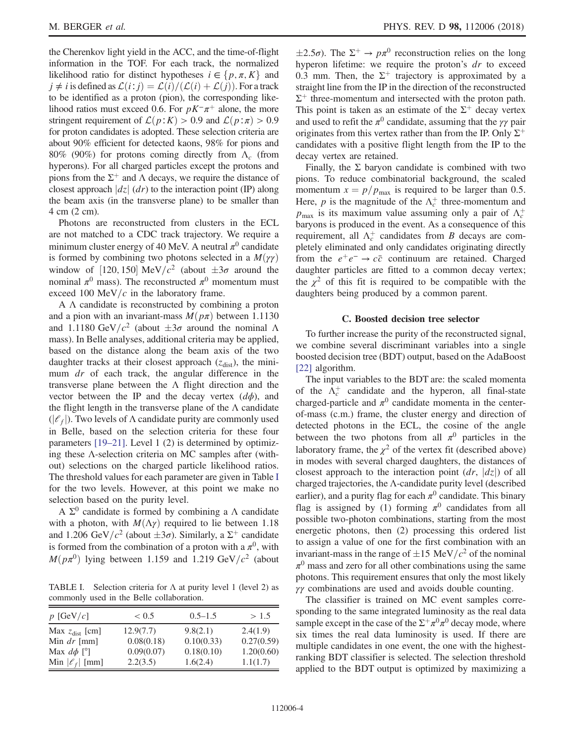the Cherenkov light yield in the ACC, and the time-of-flight information in the TOF. For each track, the normalized likelihood ratio for distinct hypotheses  $i \in \{p, \pi, K\}$  and  $j \neq i$  is defined as  $\mathcal{L}(i:j) = \mathcal{L}(i)/(\mathcal{L}(i) + \mathcal{L}(j))$ . For a track to be identified as a proton (pion), the corresponding likelihood ratios must exceed 0.6. For  $pK^-\pi^+$  alone, the more stringent requirement of  $\mathcal{L}(p:K) > 0.9$  and  $\mathcal{L}(p:\pi) > 0.9$ for proton candidates is adopted. These selection criteria are about 90% efficient for detected kaons, 98% for pions and 80% (90%) for protons coming directly from  $\Lambda_c$  (from hyperons). For all charged particles except the protons and pions from the  $\Sigma^+$  and  $\Lambda$  decays, we require the distance of closest approach  $|dz|$  (dr) to the interaction point (IP) along the beam axis (in the transverse plane) to be smaller than 4 cm (2 cm).

Photons are reconstructed from clusters in the ECL are not matched to a CDC track trajectory. We require a minimum cluster energy of 40 MeV. A neutral  $\pi^0$  candidate is formed by combining two photons selected in a  $M(\gamma\gamma)$ window of [120, 150] MeV/ $c^2$  (about  $\pm 3\sigma$  around the nominal  $\pi^0$  mass). The reconstructed  $\pi^0$  momentum must nominal  $\pi^0$  mass). The reconstructed  $\pi^0$  momentum must exceed 100 MeV/ $c$  in the laboratory frame.

A Λ candidate is reconstructed by combining a proton and a pion with an invariant-mass  $M(p\pi)$  between 1.1130 and 1.1180 GeV/ $c^2$  (about  $\pm 3\sigma$  around the nominal  $\Lambda$  mass) In Belle analyses additional criteria may be annualed mass). In Belle analyses, additional criteria may be applied, based on the distance along the beam axis of the two daughter tracks at their closest approach  $(z<sub>dist</sub>)$ , the minimum dr of each track, the angular difference in the transverse plane between the Λ flight direction and the vector between the IP and the decay vertex  $(d\phi)$ , and the flight length in the transverse plane of the  $\Lambda$  candidate  $(|\ell_f|)$ . Two levels of Λ candidate purity are commonly used in Belle, based on the selection criteria for these four parameters [\[19](#page-9-12)–21]. Level 1 (2) is determined by optimizing these Λ-selection criteria on MC samples after (without) selections on the charged particle likelihood ratios. The threshold values for each parameter are given in Table [I](#page-3-0) for the two levels. However, at this point we make no selection based on the purity level.

A  $\Sigma$ <sup>0</sup> candidate is formed by combining a Λ candidate with a photon, with  $M(\Lambda \gamma)$  required to lie between 1.18 and 1.206 GeV/ $c^2$  (about  $\pm 3\sigma$ ). Similarly, a  $\Sigma^+$  candidate<br>is formed from the combination of a proton with a  $\pi^0$  with is formed from the combination of a proton with a  $\pi^0$ , with  $M(p\pi^0)$  lying between 1.159 and 1.219 GeV/ $c^2$  (about

<span id="page-3-0"></span>TABLE I. Selection criteria for  $\Lambda$  at purity level 1 (level 2) as commonly used in the Belle collaboration.

| $0.5 - 1.5$                                       | > 1.5                                            |
|---------------------------------------------------|--------------------------------------------------|
| 9.8(2.1)<br>0.10(0.33)<br>0.18(0.10)              | 2.4(1.9)<br>0.27(0.59)<br>1.20(0.60)<br>1.1(1.7) |
| 12.9(7.7)<br>0.08(0.18)<br>0.09(0.07)<br>2.2(3.5) | 1.6(2.4)                                         |

hyperon lifetime: we require the proton's  $dr$  to exceed  $\pm 2.5\sigma$ ). The  $\Sigma^+ \rightarrow p\pi^0$  reconstruction relies on the long 0.3 mm. Then, the  $\Sigma^+$  trajectory is approximated by a straight line from the IP in the direction of the reconstructed  $\Sigma^+$  three-momentum and intersected with the proton path. This point is taken as an estimate of the  $\Sigma^+$  decay vertex and used to refit the  $\pi^0$  candidate, assuming that the γγ pair originates from this vertex rather than from the IP. Only  $\Sigma^+$ candidates with a positive flight length from the IP to the decay vertex are retained.

Finally, the  $\Sigma$  baryon candidate is combined with two pions. To reduce combinatorial background, the scaled momentum  $x = p/p_{\text{max}}$  is required to be larger than 0.5. Here, *p* is the magnitude of the  $\Lambda_c^+$  three-momentum and  $p_{\text{max}}$  is its maximum value assuming only a pair of  $\Lambda_c^+$ baryons is produced in the event. As a consequence of this requirement, all  $\Lambda_c^+$  candidates from B decays are completely eliminated and only candidates originating directly from the  $e^+e^- \rightarrow c\bar{c}$  continuum are retained. Charged daughter particles are fitted to a common decay vertex; the  $\chi^2$  of this fit is required to be compatible with the daughters being produced by a common parent.

### C. Boosted decision tree selector

To further increase the purity of the reconstructed signal, we combine several discriminant variables into a single boosted decision tree (BDT) output, based on the AdaBoost [\[22\]](#page-9-13) algorithm.

The input variables to the BDT are: the scaled momenta of the  $\Lambda_c^+$  candidate and the hyperon, all final-state charged-particle and  $\pi^0$  candidate momenta in the centerof-mass (c.m.) frame, the cluster energy and direction of detected photons in the ECL, the cosine of the angle between the two photons from all  $\pi^0$  particles in the laboratory frame, the  $\chi^2$  of the vertex fit (described above) in modes with several charged daughters, the distances of closest approach to the interaction point  $(dr, |dz|)$  of all charged trajectories, the Λ-candidate purity level (described earlier), and a purity flag for each  $\pi^0$  candidate. This binary flag is assigned by (1) forming  $\pi^0$  candidates from all possible two-photon combinations, starting from the most energetic photons, then (2) processing this ordered list to assign a value of one for the first combination with an invariant-mass in the range of  $\pm 15$  MeV/ $c^2$  of the nominal  $\pi^0$  mass and zero for all other combinations using the same  $\pi^0$  mass and zero for all other combinations using the same photons. This requirement ensures that only the most likely γγ combinations are used and avoids double counting.

The classifier is trained on MC event samples corresponding to the same integrated luminosity as the real data sample except in the case of the  $\Sigma^+\pi^0\pi^0$  decay mode, where six times the real data luminosity is used. If there are multiple candidates in one event, the one with the highestranking BDT classifier is selected. The selection threshold applied to the BDT output is optimized by maximizing a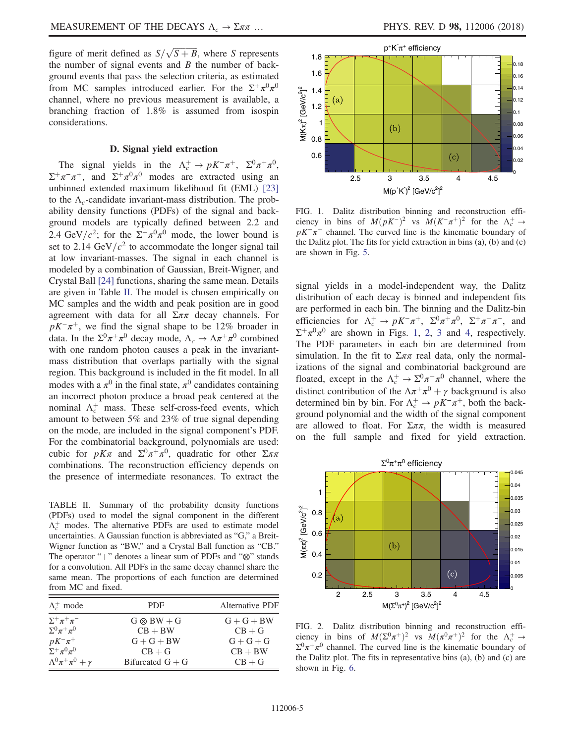figure of merit defined as  $S/\sqrt{S+B}$ , where S represents<br>the number of signal events and B the number of backthe number of signal events and  $B$  the number of background events that pass the selection criteria, as estimated from MC samples introduced earlier. For the  $\Sigma^+\pi^0\pi^0$ channel, where no previous measurement is available, a branching fraction of 1.8% is assumed from isospin considerations.

### D. Signal yield extraction

The signal yields in the  $\Lambda_c^+ \to pK^-\pi^+$ ,  $\Sigma^0\pi^+\pi^0$ ,  $\Sigma^+\pi^-\pi^+$ , and  $\Sigma^+\pi^0\pi^0$  modes are extracted using an unbinned extended maximum likelihood fit (EML) [\[23\]](#page-9-14) to the  $\Lambda_c$ -candidate invariant-mass distribution. The probability density functions (PDFs) of the signal and background models are typically defined between 2.2 and 2.4 GeV/ $c^2$ ; for the  $\Sigma^+\pi^0\pi^0$  mode, the lower bound is set to 2.14 GeV/ $c^2$  to accommodate the longer signal tail at low invariant-masses. The signal in each channel is modeled by a combination of Gaussian, Breit-Wigner, and Crystal Ball [\[24\]](#page-9-15) functions, sharing the same mean. Details are given in Table [II.](#page-4-0) The model is chosen empirically on MC samples and the width and peak position are in good agreement with data for all  $\Sigma \pi \pi$  decay channels. For  $pK^-\pi^+$ , we find the signal shape to be 12% broader in data. In the  $\Sigma^0 \pi^+ \pi^0$  decay mode,  $\Lambda_c \to \Lambda \pi^+ \pi^0$  combined with one random photon causes a peak in the invariantmass distribution that overlaps partially with the signal region. This background is included in the fit model. In all modes with a  $\pi^0$  in the final state,  $\pi^0$  candidates containing an incorrect photon produce a broad peak centered at the nominal  $\Lambda_c^+$  mass. These self-cross-feed events, which amount to between 5% and 23% of true signal depending on the mode, are included in the signal component's PDF. For the combinatorial background, polynomials are used: cubic for  $pK\pi$  and  $\Sigma^0\pi^+\pi^0$ , quadratic for other  $\Sigma\pi\pi$ combinations. The reconstruction efficiency depends on the presence of intermediate resonances. To extract the

<span id="page-4-0"></span>TABLE II. Summary of the probability density functions (PDFs) used to model the signal component in the different  $\Lambda_c^+$  modes. The alternative PDFs are used to estimate model uncertainties. A Gaussian function is abbreviated as "G," a Breit-Wigner function as "BW," and a Crystal Ball function as "CB." The operator "+" denotes a linear sum of PDFs and "⊗" stands for a convolution. All PDFs in the same decay channel share the same mean. The proportions of each function are determined from MC and fixed.

| $\Lambda_c^+$ mode                                             | PDF                | Alternative PDF |
|----------------------------------------------------------------|--------------------|-----------------|
| $\Sigma^+\pi^+\pi^-$                                           | $G \otimes BW + G$ | $G+G+BW$        |
| $\Sigma^0 \pi^+ \pi^0$                                         | $CB + BW$          | $CB + G$        |
| $pK^{-}\pi^{+}$                                                | $G+G+BW$           | $G+G+G$         |
| $\sum_{\alpha}^{\mathbf{r}} \mathcal{L}^{\alpha} \pi^{\alpha}$ | $CB + G$           | $CB + BW$       |
| $\Lambda^0 \pi^+ \pi^0 + \gamma$                               | Bifurcated $G + G$ | $CB + G$        |

<span id="page-4-1"></span>

FIG. 1. Dalitz distribution binning and reconstruction efficiency in bins of  $M(pK^-)^2$  vs  $M(K^-\pi^+)^2$  for the  $\Lambda_c^+ \to pK^-\pi^+$  channel. The curved line is the kinematic boundary of  $pK^-\pi^+$  channel. The curved line is the kinematic boundary of the Dalitz plot. The fits for yield extraction in bins (a), (b) and (c) are shown in Fig. [5](#page-5-2).

signal yields in a model-independent way, the Dalitz distribution of each decay is binned and independent fits are performed in each bin. The binning and the Dalitz-bin efficiencies for  $\Lambda_c^+ \to pK^-\pi^+$ ,  $\Sigma^0\pi^+\pi^0$ ,  $\Sigma^+\pi^+\pi^-$ , and  $\Sigma^+\pi^0\pi^0$  are shown in Figs. [1](#page-4-1), [2](#page-4-2), [3](#page-5-0) and [4,](#page-5-1) respectively. The PDF parameters in each bin are determined from simulation. In the fit to  $\Sigma \pi \pi$  real data, only the normalizations of the signal and combinatorial background are floated, except in the  $\Lambda_c^+ \to \Sigma^0 \pi^+ \pi^0$  channel, where the distinct contribution of the  $\Lambda \pi^+ \pi^0 + \gamma$  background is also determined bin by bin. For  $\Lambda_c^+ \to pK^-\pi^+$ , both the background polynomial and the width of the signal component are allowed to float. For  $\Sigma \pi \pi$ , the width is measured on the full sample and fixed for yield extraction.

<span id="page-4-2"></span>

FIG. 2. Dalitz distribution binning and reconstruction efficiency in bins of  $M(\Sigma^0 \pi^+)^2$  vs  $M(\pi^0 \pi^+)^2$  for the  $\Lambda_c^+ \to \Sigma^0 \pi^+ \pi^0$  channel The curved line is the kinematic boundary of  $\Sigma^0 \pi^+ \pi^0$  channel. The curved line is the kinematic boundary of the Dalitz plot. The fits in representative bins (a), (b) and (c) are shown in Fig. [6.](#page-6-0)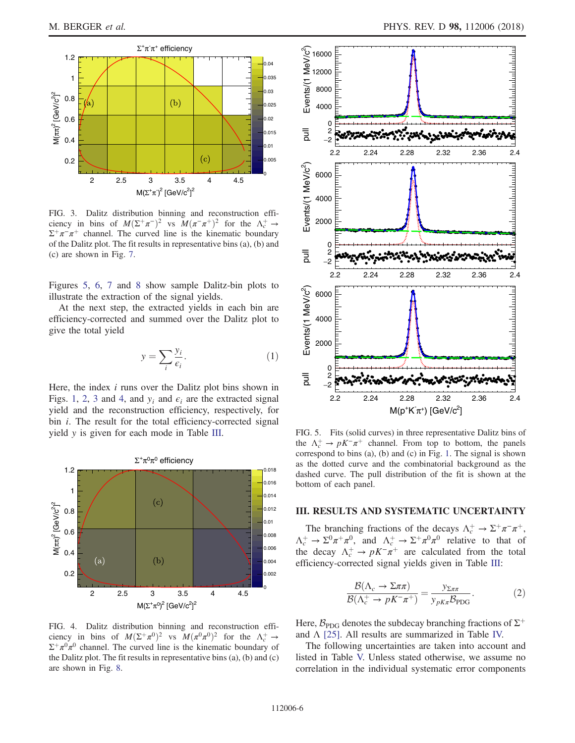<span id="page-5-0"></span>

FIG. 3. Dalitz distribution binning and reconstruction efficiency in bins of  $M(\Sigma^+\pi^-)^2$  vs  $M(\pi^-\pi^+)^2$  for the  $\Lambda_c^+\to \Sigma^+\pi^-\pi^+$  channel. The curved line is the kinematic boundary  $\Sigma^+\pi^-\pi^+$  channel. The curved line is the kinematic boundary of the Dalitz plot. The fit results in representative bins (a), (b) and (c) are shown in Fig. [7](#page-6-1).

Figures [5](#page-5-2), [6](#page-6-0), [7](#page-6-1) and [8](#page-7-0) show sample Dalitz-bin plots to illustrate the extraction of the signal yields.

At the next step, the extracted yields in each bin are efficiency-corrected and summed over the Dalitz plot to give the total yield

$$
y = \sum_{i} \frac{y_i}{\epsilon_i}.\tag{1}
$$

Here, the index  $i$  runs over the Dalitz plot bins shown in Figs. [1](#page-4-1), [2,](#page-4-2) [3](#page-5-0) and [4,](#page-5-1) and  $y_i$  and  $\epsilon_i$  are the extracted signal yield and the reconstruction efficiency, respectively, for bin *i*. The result for the total efficiency-corrected signal yield y is given for each mode in Table [III.](#page-7-1)

<span id="page-5-1"></span>

FIG. 4. Dalitz distribution binning and reconstruction efficiency in bins of  $M(\Sigma^+\pi^0)^2$  vs  $M(\pi^0\pi^0)^2$  for the  $\Lambda_c^+ \to \Sigma^+\pi^0\pi^0$  channel. The curved line is the kinematic boundary of  $\Sigma^+\pi^0\pi^0$  channel. The curved line is the kinematic boundary of the Dalitz plot. The fit results in representative bins (a), (b) and (c) are shown in Fig. [8](#page-7-0).

<span id="page-5-2"></span>

FIG. 5. Fits (solid curves) in three representative Dalitz bins of the  $\Lambda_c^+ \to pK^-\pi^+$  channel. From top to bottom, the panels correspond to bins (a), (b) and (c) in Fig. [1.](#page-4-1) The signal is shown as the dotted curve and the combinatorial background as the dashed curve. The pull distribution of the fit is shown at the bottom of each panel.

### III. RESULTS AND SYSTEMATIC UNCERTAINTY

The branching fractions of the decays  $\Lambda_c^+ \to \Sigma^+ \pi^- \pi^+$ ,  $\Lambda_c^+ \to \Sigma^0 \pi^+ \pi^0$ , and  $\Lambda_c^+ \to \Sigma^+ \pi^0 \pi^0$  relative to that of the decay  $\Lambda_c^+ \to pK^-\pi^+$  are calculated from the total efficiency-corrected signal yields given in Table [III](#page-7-1):

$$
\frac{\mathcal{B}(\Lambda_c \to \Sigma \pi \pi)}{\mathcal{B}(\Lambda_c^+ \to pK^- \pi^+)} = \frac{y_{\Sigma \pi \pi}}{y_{pK\pi} \mathcal{B}_{\text{PDG}}}.
$$
 (2)

Here,  $\mathcal{B}_{\text{PDG}}$  denotes the subdecay branching fractions of  $\Sigma^+$ and  $\Lambda$  [\[25\].](#page-9-16) All results are summarized in Table [IV.](#page-7-2)

The following uncertainties are taken into account and listed in Table [V.](#page-7-3) Unless stated otherwise, we assume no correlation in the individual systematic error components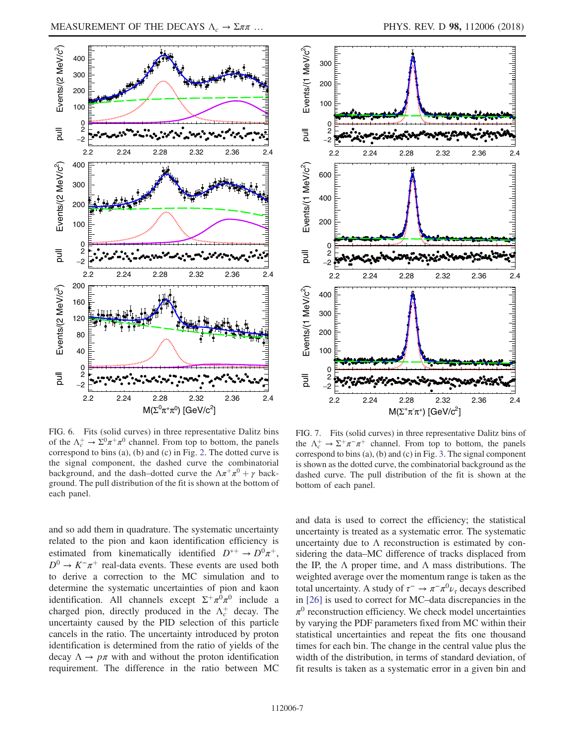<span id="page-6-0"></span>

<span id="page-6-1"></span>

FIG. 6. Fits (solid curves) in three representative Dalitz bins of the  $\Lambda_c^+ \to \Sigma^0 \pi^+ \pi^0$  channel. From top to bottom, the panels correspond to bins (a), (b) and (c) in Fig. [2.](#page-4-2) The dotted curve is the signal component, the dashed curve the combinatorial background, and the dash–dotted curve the  $\Lambda \pi^+ \pi^0 + \gamma$  background. The pull distribution of the fit is shown at the bottom of each panel.

and so add them in quadrature. The systematic uncertainty related to the pion and kaon identification efficiency is estimated from kinematically identified  $D^{*+} \rightarrow D^0 \pi^+$ ,  $D^0 \rightarrow K^-\pi^+$  real-data events. These events are used both to derive a correction to the MC simulation and to determine the systematic uncertainties of pion and kaon identification. All channels except  $\Sigma^+\pi^0\pi^0$  include a charged pion, directly produced in the  $\Lambda_c^+$  decay. The uncertainty caused by the PID selection of this particle cancels in the ratio. The uncertainty introduced by proton identification is determined from the ratio of yields of the decay  $\Lambda \to p\pi$  with and without the proton identification requirement. The difference in the ratio between MC

FIG. 7. Fits (solid curves) in three representative Dalitz bins of the  $\Lambda_c^+ \to \Sigma^+ \pi^- \pi^+$  channel. From top to bottom, the panels correspond to bins (a), (b) and (c) in Fig. [3.](#page-5-0) The signal component is shown as the dotted curve, the combinatorial background as the dashed curve. The pull distribution of the fit is shown at the bottom of each panel.

and data is used to correct the efficiency; the statistical uncertainty is treated as a systematic error. The systematic uncertainty due to  $\Lambda$  reconstruction is estimated by considering the data–MC difference of tracks displaced from the IP, the  $\Lambda$  proper time, and  $\Lambda$  mass distributions. The weighted average over the momentum range is taken as the total uncertainty. A study of  $\tau^- \to \pi^- \pi^0 \nu_\tau$  decays described in [\[26\]](#page-9-17) is used to correct for MC–data discrepancies in the  $\pi^0$  reconstruction efficiency. We check model uncertainties by varying the PDF parameters fixed from MC within their statistical uncertainties and repeat the fits one thousand times for each bin. The change in the central value plus the width of the distribution, in terms of standard deviation, of fit results is taken as a systematic error in a given bin and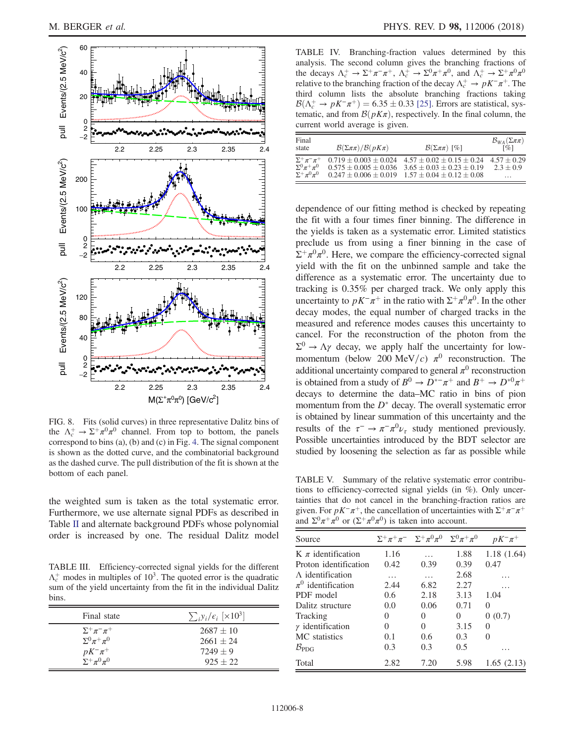<span id="page-7-0"></span>

FIG. 8. Fits (solid curves) in three representative Dalitz bins of the  $\Lambda_c^+ \to \Sigma^+ \pi^0 \pi^0$  channel. From top to bottom, the panels correspond to bins (a), (b) and (c) in Fig. [4.](#page-5-1) The signal component is shown as the dotted curve, and the combinatorial background as the dashed curve. The pull distribution of the fit is shown at the bottom of each panel.

the weighted sum is taken as the total systematic error. Furthermore, we use alternate signal PDFs as described in Table [II](#page-4-0) and alternate background PDFs whose polynomial order is increased by one. The residual Dalitz model

<span id="page-7-1"></span>TABLE III. Efficiency-corrected signal yields for the different  $\Lambda_c^+$  modes in multiples of 10<sup>3</sup>. The quoted error is the quadratic sum of the yield uncertainty from the fit in the individual Dalitz bins.

| Final state                                                                                  | $\sum_i y_i/\epsilon_i$ [×10 <sup>3</sup> ] |
|----------------------------------------------------------------------------------------------|---------------------------------------------|
| $\Sigma^+\pi^-\pi^+$<br>$\Sigma^0 \pi^+ \pi^0$<br>$pK^{-}\pi^{+}$ $\Sigma^{+}\pi^{0}\pi^{0}$ | $2687 \pm 10$<br>$2661 + 24$<br>$7249 + 9$  |
|                                                                                              | $925 + 22$                                  |

<span id="page-7-2"></span>TABLE IV. Branching-fraction values determined by this analysis. The second column gives the branching fractions of the decays  $\Lambda_c^+ \to \Sigma^+ \pi^- \pi^+$ ,  $\Lambda_c^+ \to \Sigma^0 \pi^+ \pi^0$ , and  $\Lambda_c^+ \to \Sigma^+ \pi^0 \pi^0$ relative to the branching fraction of the decay  $\Lambda_c^+ \to pK^-\pi^+$ . The third column lists the absolute branching fractions taking  $\mathcal{B}(\Lambda_c^+ \to pK^-\pi^+) = 6.35 \pm 0.33$  [\[25\].](#page-9-16) Errors are statistical, systematic, and from  $\mathcal{B}(nK\pi)$  respectively. In the final column the tematic, and from  $\mathcal{B}(pK\pi)$ , respectively. In the final column, the current world average is given.

| Final<br>state                                 | $\mathcal{B}(\Sigma \pi \pi)/\mathcal{B}(p K \pi)$ | $\mathcal{B}(\Sigma \pi \pi)$ [%]                                                                                        | $B_{WA}(\Sigma \pi \pi)$<br>$\lceil \% \rceil$ |
|------------------------------------------------|----------------------------------------------------|--------------------------------------------------------------------------------------------------------------------------|------------------------------------------------|
| $\Sigma^+\pi^-\pi^+$<br>$\Sigma^0 \pi^+ \pi^0$ |                                                    | $0.719 \pm 0.003 \pm 0.024$ 4.57 $\pm$ 0.02 $\pm$ 0.15 $\pm$ 0.24<br>$0.575 + 0.005 + 0.036$ $3.65 + 0.03 + 0.23 + 0.19$ | $4.57 + 0.29$<br>$2.3 + 0.9$                   |
| $\Sigma^+\pi^0\pi^0$                           |                                                    | $0.247 \pm 0.006 \pm 0.019$ $1.57 \pm 0.04 \pm 0.12 \pm 0.08$                                                            | $\cdots$                                       |

dependence of our fitting method is checked by repeating the fit with a four times finer binning. The difference in the yields is taken as a systematic error. Limited statistics preclude us from using a finer binning in the case of  $\Sigma^+\pi^0\pi^0$ . Here, we compare the efficiency-corrected signal yield with the fit on the unbinned sample and take the difference as a systematic error. The uncertainty due to tracking is 0.35% per charged track. We only apply this uncertainty to  $pK^-\pi^+$  in the ratio with  $\Sigma^+\pi^0\pi^0$ . In the other decay modes, the equal number of charged tracks in the measured and reference modes causes this uncertainty to cancel. For the reconstruction of the photon from the  $\Sigma^0 \rightarrow \Lambda \gamma$  decay, we apply half the uncertainty for lowmomentum (below 200 MeV/c)  $\pi^0$  reconstruction. The additional uncertainty compared to general  $\pi^0$  reconstruction is obtained from a study of  $B^0 \to D^{*-}\pi^+$  and  $B^+ \to D^{*0}\pi^+$ decays to determine the data–MC ratio in bins of pion momentum from the  $D^*$  decay. The overall systematic error is obtained by linear summation of this uncertainty and the results of the  $\tau^- \to \pi^- \pi^0 \nu_\tau$  study mentioned previously. Possible uncertainties introduced by the BDT selector are studied by loosening the selection as far as possible while

<span id="page-7-3"></span>TABLE V. Summary of the relative systematic error contributions to efficiency-corrected signal yields (in %). Only uncertainties that do not cancel in the branching-fraction ratios are given. For  $pK^-\pi^+$ , the cancellation of uncertainties with  $\Sigma^+\pi^-\pi^+$ and  $\Sigma^0 \pi^+ \pi^0$  or  $(\Sigma^+ \pi^0 \pi^0)$  is taken into account.

| Source                     |          | $\Sigma^+\pi^+\pi^-\quad \Sigma^+\pi^0\pi^0\quad \Sigma^0\pi^+\pi^0$ |      | $pK^{-}\pi^{+}$ |
|----------------------------|----------|----------------------------------------------------------------------|------|-----------------|
| $K \pi$ identification     | 1.16     |                                                                      | 1.88 | 1.18(1.64)      |
| Proton identification      | 0.42     | 0.39                                                                 | 0.39 | 0.47            |
| $\Lambda$ identification   | $\cdots$ | $\cdots$                                                             | 2.68 |                 |
| $\pi^0$ identification     | 2.44     | 6.82                                                                 | 2.27 |                 |
| PDF model                  | 0.6      | 2.18                                                                 | 3.13 | 1.04            |
| Dalitz structure           | 0.0      | 0.06                                                                 | 0.71 | 0               |
| Tracking                   | 0        | $\mathbf{0}$                                                         | 0    | 0(0.7)          |
| $\gamma$ identification    | 0        | 0                                                                    | 3.15 | 0               |
| MC statistics              | 0.1      | 0.6                                                                  | 0.3  | $\Omega$        |
| $\mathcal{B}_{\text{PDG}}$ | 0.3      | 0.3                                                                  | 0.5  | .               |
| Total                      | 2.82     | 7.20                                                                 | 5.98 | 1.65(2.13)      |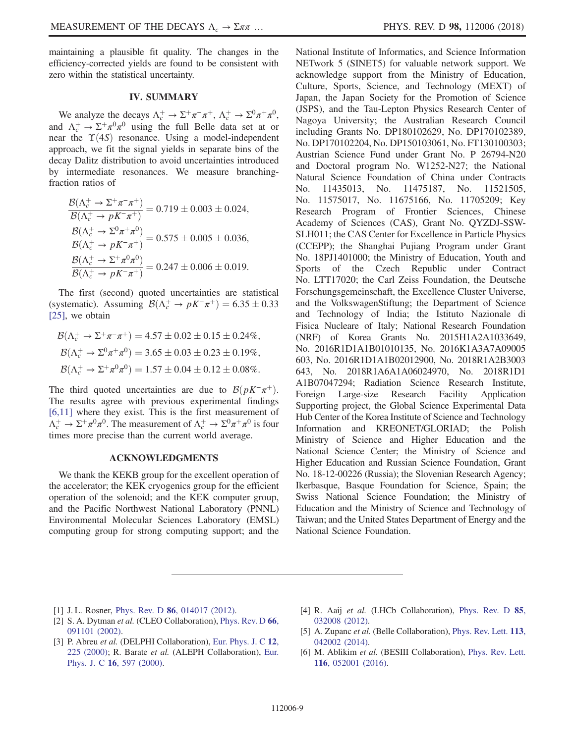maintaining a plausible fit quality. The changes in the efficiency-corrected yields are found to be consistent with zero within the statistical uncertainty.

## IV. SUMMARY

We analyze the decays  $\Lambda_c^+ \to \Sigma^+ \pi^- \pi^+$ ,  $\Lambda_c^+ \to \Sigma^0 \pi^+ \pi^0$ , and  $\Lambda_c^+ \to \Sigma^+ \pi^0 \pi^0$  using the full Belle data set at or near the  $\Upsilon(4S)$  resonance. Using a model-independent approach, we fit the signal yields in separate bins of the decay Dalitz distribution to avoid uncertainties introduced by intermediate resonances. We measure branchingfraction ratios of

$$
\frac{\mathcal{B}(\Lambda_c^+ \to \Sigma^+ \pi^- \pi^+)}{\mathcal{B}(\Lambda_c^+ \to pK^- \pi^+)} = 0.719 \pm 0.003 \pm 0.024,
$$
  

$$
\frac{\mathcal{B}(\Lambda_c^+ \to \Sigma^0 \pi^+ \pi^0)}{\mathcal{B}(\Lambda_c^+ \to pK^- \pi^+)} = 0.575 \pm 0.005 \pm 0.036,
$$
  

$$
\frac{\mathcal{B}(\Lambda_c^+ \to \Sigma^+ \pi^0 \pi^0)}{\mathcal{B}(\Lambda_c^+ \to pK^- \pi^+)} = 0.247 \pm 0.006 \pm 0.019.
$$

The first (second) quoted uncertainties are statistical (systematic). Assuming  $\mathcal{B}(\Lambda_c^+ \to pK^-\pi^+) = 6.35 \pm 0.33$ <br>[25] we obtain [\[25\]](#page-9-16), we obtain

$$
\mathcal{B}(\Lambda_c^+ \to \Sigma^+ \pi^- \pi^+) = 4.57 \pm 0.02 \pm 0.15 \pm 0.24\%,
$$
  
\n
$$
\mathcal{B}(\Lambda_c^+ \to \Sigma^0 \pi^+ \pi^0) = 3.65 \pm 0.03 \pm 0.23 \pm 0.19\%,
$$
  
\n
$$
\mathcal{B}(\Lambda_c^+ \to \Sigma^+ \pi^0 \pi^0) = 1.57 \pm 0.04 \pm 0.12 \pm 0.08\%.
$$

The third quoted uncertainties are due to  $\mathcal{B}(pK^-\pi^+)$ . The results agree with previous experimental findings [\[6,11\]](#page-8-3) where they exist. This is the first measurement of  $\Lambda_c^+ \to \Sigma^+ \pi^0 \pi^0$ . The measurement of  $\Lambda_c^+ \to \Sigma^0 \pi^+ \pi^0$  is four times more precise than the current world average.

#### ACKNOWLEDGMENTS

We thank the KEKB group for the excellent operation of the accelerator; the KEK cryogenics group for the efficient operation of the solenoid; and the KEK computer group, and the Pacific Northwest National Laboratory (PNNL) Environmental Molecular Sciences Laboratory (EMSL) computing group for strong computing support; and the National Institute of Informatics, and Science Information NETwork 5 (SINET5) for valuable network support. We acknowledge support from the Ministry of Education, Culture, Sports, Science, and Technology (MEXT) of Japan, the Japan Society for the Promotion of Science (JSPS), and the Tau-Lepton Physics Research Center of Nagoya University; the Australian Research Council including Grants No. DP180102629, No. DP170102389, No. DP170102204, No. DP150103061, No. FT130100303; Austrian Science Fund under Grant No. P 26794-N20 and Doctoral program No. W1252-N27; the National Natural Science Foundation of China under Contracts No. 11435013, No. 11475187, No. 11521505, No. 11575017, No. 11675166, No. 11705209; Key Research Program of Frontier Sciences, Chinese Academy of Sciences (CAS), Grant No. QYZDJ-SSW-SLH011; the CAS Center for Excellence in Particle Physics (CCEPP); the Shanghai Pujiang Program under Grant No. 18PJ1401000; the Ministry of Education, Youth and Sports of the Czech Republic under Contract No. LTT17020; the Carl Zeiss Foundation, the Deutsche Forschungsgemeinschaft, the Excellence Cluster Universe, and the VolkswagenStiftung; the Department of Science and Technology of India; the Istituto Nazionale di Fisica Nucleare of Italy; National Research Foundation (NRF) of Korea Grants No. 2015H1A2A1033649, No. 2016R1D1A1B01010135, No. 2016K1A3A7A09005 603, No. 2016R1D1A1B02012900, No. 2018R1A2B3003 643, No. 2018R1A6A1A06024970, No. 2018R1D1 A1B07047294; Radiation Science Research Institute, Foreign Large-size Research Facility Application Supporting project, the Global Science Experimental Data Hub Center of the Korea Institute of Science and Technology Information and KREONET/GLORIAD; the Polish Ministry of Science and Higher Education and the National Science Center; the Ministry of Science and Higher Education and Russian Science Foundation, Grant No. 18-12-00226 (Russia); the Slovenian Research Agency; Ikerbasque, Basque Foundation for Science, Spain; the Swiss National Science Foundation; the Ministry of Education and the Ministry of Science and Technology of Taiwan; and the United States Department of Energy and the National Science Foundation.

- <span id="page-8-0"></span>[1] J. L. Rosner, Phys. Rev. D **86**[, 014017 \(2012\).](https://doi.org/10.1103/PhysRevD.86.014017)
- [2] S. A. Dytman *et al.* (CLEO Collaboration), [Phys. Rev. D](https://doi.org/10.1103/PhysRevD.66.091101) 66, [091101 \(2002\).](https://doi.org/10.1103/PhysRevD.66.091101)
- <span id="page-8-1"></span>[3] P. Abreu et al. (DELPHI Collaboration), [Eur. Phys. J. C](https://doi.org/10.1007/s1005299000228) 12, [225 \(2000\);](https://doi.org/10.1007/s1005299000228) R. Barate et al. (ALEPH Collaboration), [Eur.](https://doi.org/10.1007/s100520000421) Phys. J. C 16[, 597 \(2000\).](https://doi.org/10.1007/s100520000421)
- [4] R. Aaij et al. (LHCb Collaboration), [Phys. Rev. D](https://doi.org/10.1103/PhysRevD.85.032008) 85, [032008 \(2012\).](https://doi.org/10.1103/PhysRevD.85.032008)
- <span id="page-8-2"></span>[5] A. Zupanc *et al.* (Belle Collaboration), [Phys. Rev. Lett.](https://doi.org/10.1103/PhysRevLett.113.042002) 113, [042002 \(2014\).](https://doi.org/10.1103/PhysRevLett.113.042002)
- <span id="page-8-3"></span>[6] M. Ablikim et al. (BESIII Collaboration), [Phys. Rev. Lett.](https://doi.org/10.1103/PhysRevLett.116.052001) 116[, 052001 \(2016\).](https://doi.org/10.1103/PhysRevLett.116.052001)